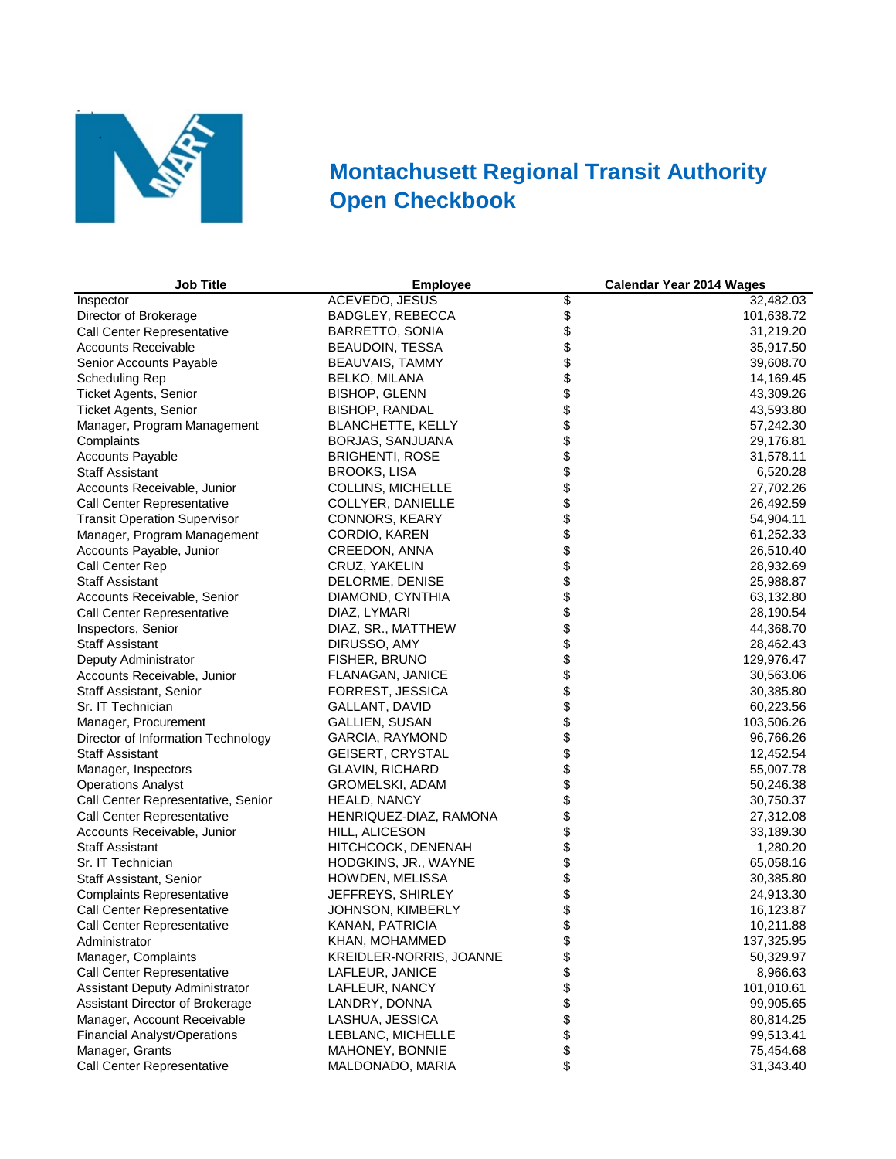

## **Montachusett Regional Transit Authority Open Checkbook**

| <b>Job Title</b>                    | <b>Employee</b>          |                | <b>Calendar Year 2014 Wages</b> |
|-------------------------------------|--------------------------|----------------|---------------------------------|
| Inspector                           | <b>ACEVEDO, JESUS</b>    | \$             | 32,482.03                       |
| Director of Brokerage               | BADGLEY, REBECCA         |                | 101,638.72                      |
| Call Center Representative          | BARRETTO, SONIA          |                | 31,219.20                       |
| <b>Accounts Receivable</b>          | <b>BEAUDOIN, TESSA</b>   |                | 35,917.50                       |
| Senior Accounts Payable             | <b>BEAUVAIS, TAMMY</b>   |                | 39,608.70                       |
| Scheduling Rep                      | <b>BELKO, MILANA</b>     |                | 14,169.45                       |
| <b>Ticket Agents, Senior</b>        | <b>BISHOP, GLENN</b>     |                | 43,309.26                       |
| <b>Ticket Agents, Senior</b>        | <b>BISHOP, RANDAL</b>    |                | 43,593.80                       |
| Manager, Program Management         | <b>BLANCHETTE, KELLY</b> |                | 57,242.30                       |
| Complaints                          | BORJAS, SANJUANA         |                | 29,176.81                       |
| <b>Accounts Payable</b>             | <b>BRIGHENTI, ROSE</b>   |                | 31,578.11                       |
| <b>Staff Assistant</b>              | <b>BROOKS, LISA</b>      |                | 6,520.28                        |
| Accounts Receivable, Junior         | <b>COLLINS, MICHELLE</b> |                | 27,702.26                       |
| Call Center Representative          | COLLYER, DANIELLE        |                | 26,492.59                       |
| <b>Transit Operation Supervisor</b> | CONNORS, KEARY           |                | 54,904.11                       |
| Manager, Program Management         | CORDIO, KAREN            |                | 61,252.33                       |
| Accounts Payable, Junior            | CREEDON, ANNA            |                | 26,510.40                       |
| Call Center Rep                     | CRUZ, YAKELIN            |                | 28,932.69                       |
| <b>Staff Assistant</b>              | DELORME, DENISE          |                | 25,988.87                       |
| Accounts Receivable, Senior         | DIAMOND, CYNTHIA         |                | 63,132.80                       |
| Call Center Representative          | DIAZ, LYMARI             |                | 28,190.54                       |
| Inspectors, Senior                  | DIAZ, SR., MATTHEW       |                | 44,368.70                       |
| <b>Staff Assistant</b>              | DIRUSSO, AMY             |                | 28,462.43                       |
| Deputy Administrator                | FISHER, BRUNO            |                | 129,976.47                      |
| Accounts Receivable, Junior         | FLANAGAN, JANICE         |                | 30,563.06                       |
| Staff Assistant, Senior             | FORREST, JESSICA         |                | 30,385.80                       |
| Sr. IT Technician                   | GALLANT, DAVID           |                | 60,223.56                       |
| Manager, Procurement                | GALLIEN, SUSAN           |                | 103,506.26                      |
| Director of Information Technology  | GARCIA, RAYMOND          |                | 96,766.26                       |
| <b>Staff Assistant</b>              | GEISERT, CRYSTAL         |                | 12,452.54                       |
| Manager, Inspectors                 | GLAVIN, RICHARD          |                | 55,007.78                       |
| <b>Operations Analyst</b>           | GROMELSKI, ADAM          |                | 50,246.38                       |
| Call Center Representative, Senior  | HEALD, NANCY             |                | 30,750.37                       |
| Call Center Representative          | HENRIQUEZ-DIAZ, RAMONA   |                | 27,312.08                       |
| Accounts Receivable, Junior         | HILL, ALICESON           |                | 33,189.30                       |
| <b>Staff Assistant</b>              | HITCHCOCK, DENENAH       |                | 1,280.20                        |
| Sr. IT Technician                   | HODGKINS, JR., WAYNE     |                | 65,058.16                       |
| Staff Assistant, Senior             | HOWDEN, MELISSA          |                | 30,385.80                       |
| <b>Complaints Representative</b>    | JEFFREYS, SHIRLEY        |                | 24,913.30                       |
| Call Center Representative          | JOHNSON, KIMBERLY        |                | 16,123.87                       |
| <b>Call Center Representative</b>   | KANAN, PATRICIA          |                | 10,211.88                       |
| Administrator                       | KHAN, MOHAMMED           | \$             | 137,325.95                      |
| Manager, Complaints                 | KREIDLER-NORRIS, JOANNE  |                | 50,329.97                       |
| Call Center Representative          | LAFLEUR, JANICE          |                | 8,966.63                        |
| Assistant Deputy Administrator      | LAFLEUR, NANCY           | <b>8888888</b> | 101,010.61                      |
| Assistant Director of Brokerage     | LANDRY, DONNA            |                | 99,905.65                       |
| Manager, Account Receivable         | LASHUA, JESSICA          |                | 80,814.25                       |
| <b>Financial Analyst/Operations</b> | LEBLANC, MICHELLE        |                | 99,513.41                       |
| Manager, Grants                     | MAHONEY, BONNIE          |                | 75,454.68                       |
| Call Center Representative          | MALDONADO, MARIA         | \$             | 31,343.40                       |